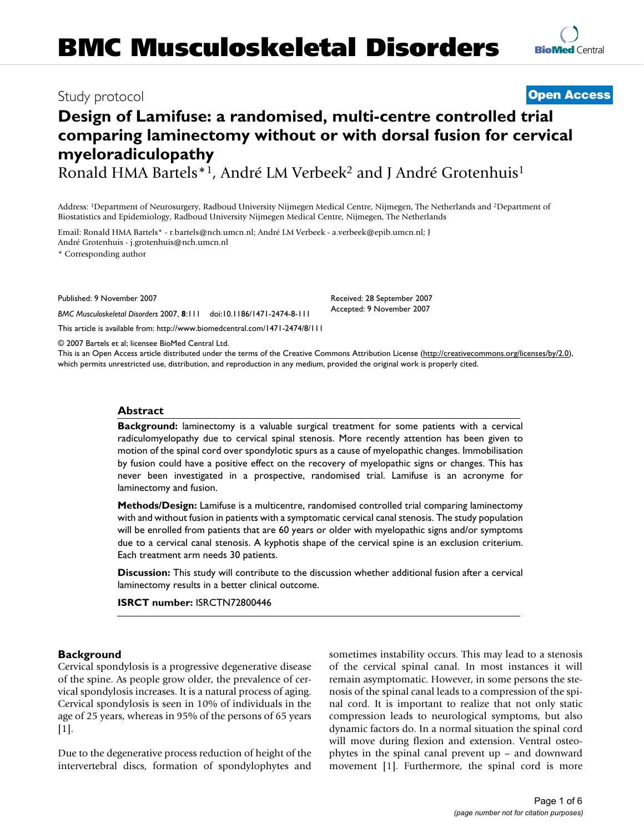# **BMC Musculoskeletal Disorders**

### Study protocol **[Open Access](http://www.biomedcentral.com/info/about/charter/)**

## **Design of Lamifuse: a randomised, multi-centre controlled trial comparing laminectomy without or with dorsal fusion for cervical myeloradiculopathy**

Ronald HMA Bartels\*1, André LM Verbeek2 and J André Grotenhuis1

Address: 1Department of Neurosurgery, Radboud University Nijmegen Medical Centre, Nijmegen, The Netherlands and 2Department of Biostatistics and Epidemiology, Radboud University Nijmegen Medical Centre, Nijmegen, The Netherlands

Email: Ronald HMA Bartels\* - r.bartels@nch.umcn.nl; André LM Verbeek - a.verbeek@epib.umcn.nl; J André Grotenhuis - j.grotenhuis@nch.umcn.nl

\* Corresponding author

Published: 9 November 2007

*BMC Musculoskeletal Disorders* 2007, **8**:111 doi:10.1186/1471-2474-8-111

[This article is available from: http://www.biomedcentral.com/1471-2474/8/111](http://www.biomedcentral.com/1471-2474/8/111)

© 2007 Bartels et al; licensee BioMed Central Ltd.

This is an Open Access article distributed under the terms of the Creative Commons Attribution License [\(http://creativecommons.org/licenses/by/2.0\)](http://creativecommons.org/licenses/by/2.0), which permits unrestricted use, distribution, and reproduction in any medium, provided the original work is properly cited.

#### **Abstract**

**Background:** laminectomy is a valuable surgical treatment for some patients with a cervical radiculomyelopathy due to cervical spinal stenosis. More recently attention has been given to motion of the spinal cord over spondylotic spurs as a cause of myelopathic changes. Immobilisation by fusion could have a positive effect on the recovery of myelopathic signs or changes. This has never been investigated in a prospective, randomised trial. Lamifuse is an acronyme for laminectomy and fusion.

**Methods/Design:** Lamifuse is a multicentre, randomised controlled trial comparing laminectomy with and without fusion in patients with a symptomatic cervical canal stenosis. The study population will be enrolled from patients that are 60 years or older with myelopathic signs and/or symptoms due to a cervical canal stenosis. A kyphotis shape of the cervical spine is an exclusion criterium. Each treatment arm needs 30 patients.

**Discussion:** This study will contribute to the discussion whether additional fusion after a cervical laminectomy results in a better clinical outcome.

**ISRCT number:** ISRCTN72800446

#### **Background**

Cervical spondylosis is a progressive degenerative disease of the spine. As people grow older, the prevalence of cervical spondylosis increases. It is a natural process of aging. Cervical spondylosis is seen in 10% of individuals in the age of 25 years, whereas in 95% of the persons of 65 years  $[1]$ .

Due to the degenerative process reduction of height of the intervertebral discs, formation of spondylophytes and sometimes instability occurs. This may lead to a stenosis of the cervical spinal canal. In most instances it will remain asymptomatic. However, in some persons the stenosis of the spinal canal leads to a compression of the spinal cord. It is important to realize that not only static compression leads to neurological symptoms, but also dynamic factors do. In a normal situation the spinal cord will move during flexion and extension. Ventral osteophytes in the spinal canal prevent up – and downward movement [1]. Furthermore, the spinal cord is more

Received: 28 September 2007 Accepted: 9 November 2007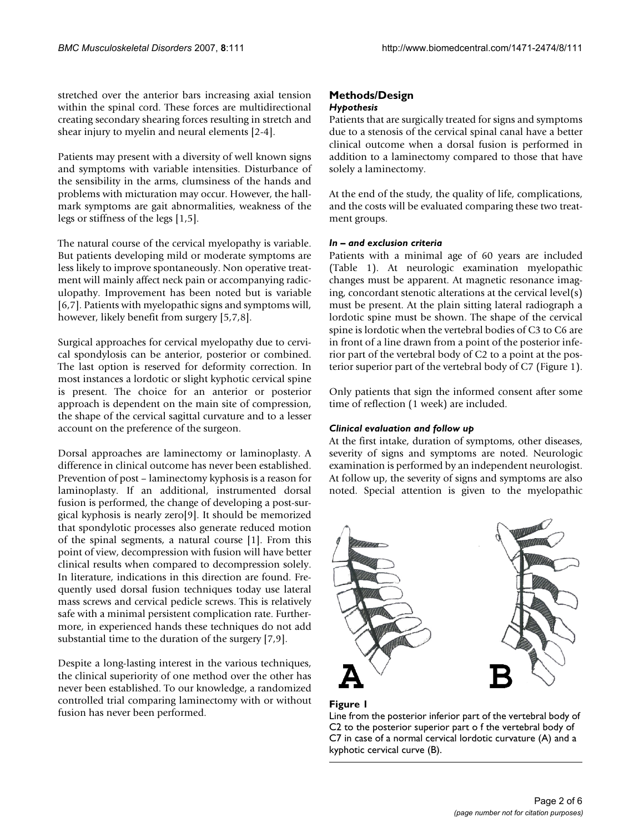stretched over the anterior bars increasing axial tension within the spinal cord. These forces are multidirectional creating secondary shearing forces resulting in stretch and shear injury to myelin and neural elements [2-4].

Patients may present with a diversity of well known signs and symptoms with variable intensities. Disturbance of the sensibility in the arms, clumsiness of the hands and problems with micturation may occur. However, the hallmark symptoms are gait abnormalities, weakness of the legs or stiffness of the legs [1,5].

The natural course of the cervical myelopathy is variable. But patients developing mild or moderate symptoms are less likely to improve spontaneously. Non operative treatment will mainly affect neck pain or accompanying radiculopathy. Improvement has been noted but is variable [6,7]. Patients with myelopathic signs and symptoms will, however, likely benefit from surgery [5,7,8].

Surgical approaches for cervical myelopathy due to cervical spondylosis can be anterior, posterior or combined. The last option is reserved for deformity correction. In most instances a lordotic or slight kyphotic cervical spine is present. The choice for an anterior or posterior approach is dependent on the main site of compression, the shape of the cervical sagittal curvature and to a lesser account on the preference of the surgeon.

Dorsal approaches are laminectomy or laminoplasty. A difference in clinical outcome has never been established. Prevention of post – laminectomy kyphosis is a reason for laminoplasty. If an additional, instrumented dorsal fusion is performed, the change of developing a post-surgical kyphosis is nearly zero[9]. It should be memorized that spondylotic processes also generate reduced motion of the spinal segments, a natural course [1]. From this point of view, decompression with fusion will have better clinical results when compared to decompression solely. In literature, indications in this direction are found. Frequently used dorsal fusion techniques today use lateral mass screws and cervical pedicle screws. This is relatively safe with a minimal persistent complication rate. Furthermore, in experienced hands these techniques do not add substantial time to the duration of the surgery [7,9].

Despite a long-lasting interest in the various techniques, the clinical superiority of one method over the other has never been established. To our knowledge, a randomized controlled trial comparing laminectomy with or without fusion has never been performed.

#### **Methods/Design** *Hypothesis*

Patients that are surgically treated for signs and symptoms due to a stenosis of the cervical spinal canal have a better clinical outcome when a dorsal fusion is performed in addition to a laminectomy compared to those that have solely a laminectomy.

At the end of the study, the quality of life, complications, and the costs will be evaluated comparing these two treatment groups.

### *In – and exclusion criteria*

Patients with a minimal age of 60 years are included (Table 1). At neurologic examination myelopathic changes must be apparent. At magnetic resonance imaging, concordant stenotic alterations at the cervical level(s) must be present. At the plain sitting lateral radiograph a lordotic spine must be shown. The shape of the cervical spine is lordotic when the vertebral bodies of C3 to C6 are in front of a line drawn from a point of the posterior inferior part of the vertebral body of C2 to a point at the posterior superior part of the vertebral body of C7 (Figure 1).

Only patients that sign the informed consent after some time of reflection (1 week) are included.

#### *Clinical evaluation and follow up*

At the first intake, duration of symptoms, other diseases, severity of signs and symptoms are noted. Neurologic examination is performed by an independent neurologist. At follow up, the severity of signs and symptoms are also noted. Special attention is given to the myelopathic



#### Figure I

Line from the posterior inferior part of the vertebral body of C2 to the posterior superior part o f the vertebral body of C7 in case of a normal cervical lordotic curvature (A) and a kyphotic cervical curve (B).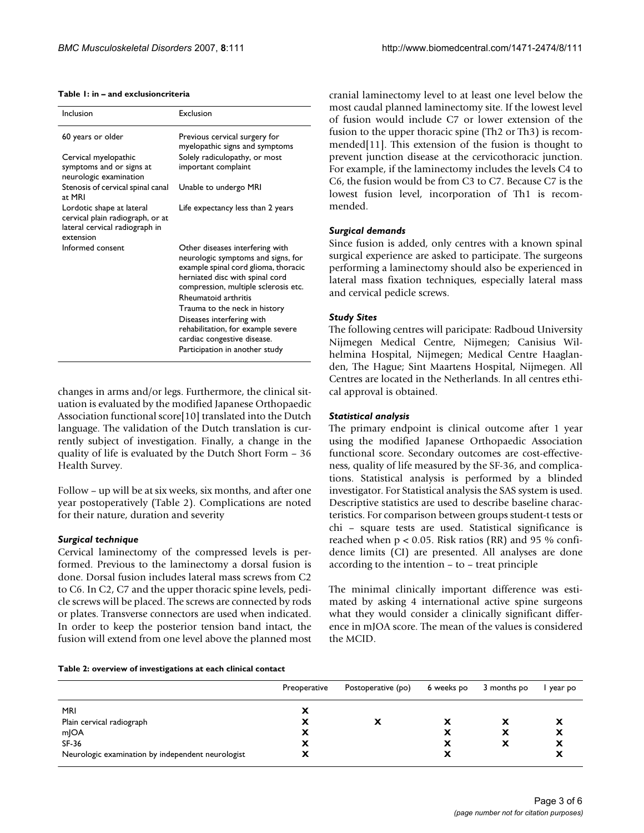| Inclusion                                                                                                    | <b>Exclusion</b>                                                                                                                                                                                                                                                                                                                                                                             |  |  |  |
|--------------------------------------------------------------------------------------------------------------|----------------------------------------------------------------------------------------------------------------------------------------------------------------------------------------------------------------------------------------------------------------------------------------------------------------------------------------------------------------------------------------------|--|--|--|
| 60 years or older                                                                                            | Previous cervical surgery for<br>myelopathic signs and symptoms                                                                                                                                                                                                                                                                                                                              |  |  |  |
| Cervical myelopathic<br>symptoms and or signs at<br>neurologic examination                                   | Solely radiculopathy, or most<br>important complaint                                                                                                                                                                                                                                                                                                                                         |  |  |  |
| Stenosis of cervical spinal canal<br>at MRI                                                                  | Unable to undergo MRI                                                                                                                                                                                                                                                                                                                                                                        |  |  |  |
| Lordotic shape at lateral<br>cervical plain radiograph, or at<br>lateral cervical radiograph in<br>extension | Life expectancy less than 2 years                                                                                                                                                                                                                                                                                                                                                            |  |  |  |
| Informed consent                                                                                             | Other diseases interfering with<br>neurologic symptoms and signs, for<br>example spinal cord glioma, thoracic<br>herniated disc with spinal cord<br>compression, multiple sclerosis etc.<br><b>Rheumatoid arthritis</b><br>Trauma to the neck in history<br>Diseases interfering with<br>rehabilitation, for example severe<br>cardiac congestive disease.<br>Participation in another study |  |  |  |

#### **Table 1: in – and exclusioncriteria**

changes in arms and/or legs. Furthermore, the clinical situation is evaluated by the modified Japanese Orthopaedic Association functional score[10] translated into the Dutch language. The validation of the Dutch translation is currently subject of investigation. Finally, a change in the quality of life is evaluated by the Dutch Short Form – 36 Health Survey.

Follow – up will be at six weeks, six months, and after one year postoperatively (Table 2). Complications are noted for their nature, duration and severity

#### *Surgical technique*

Cervical laminectomy of the compressed levels is performed. Previous to the laminectomy a dorsal fusion is done. Dorsal fusion includes lateral mass screws from C2 to C6. In C2, C7 and the upper thoracic spine levels, pedicle screws will be placed. The screws are connected by rods or plates. Transverse connectors are used when indicated. In order to keep the posterior tension band intact, the fusion will extend from one level above the planned most cranial laminectomy level to at least one level below the most caudal planned laminectomy site. If the lowest level of fusion would include C7 or lower extension of the fusion to the upper thoracic spine (Th2 or Th3) is recommended[11]. This extension of the fusion is thought to prevent junction disease at the cervicothoracic junction. For example, if the laminectomy includes the levels C4 to C6, the fusion would be from C3 to C7. Because C7 is the lowest fusion level, incorporation of Th1 is recommended.

#### *Surgical demands*

Since fusion is added, only centres with a known spinal surgical experience are asked to participate. The surgeons performing a laminectomy should also be experienced in lateral mass fixation techniques, especially lateral mass and cervical pedicle screws.

#### *Study Sites*

The following centres will paricipate: Radboud University Nijmegen Medical Centre, Nijmegen; Canisius Wilhelmina Hospital, Nijmegen; Medical Centre Haaglanden, The Hague; Sint Maartens Hospital, Nijmegen. All Centres are located in the Netherlands. In all centres ethical approval is obtained.

#### *Statistical analysis*

The primary endpoint is clinical outcome after 1 year using the modified Japanese Orthopaedic Association functional score. Secondary outcomes are cost-effectiveness, quality of life measured by the SF-36, and complications. Statistical analysis is performed by a blinded investigator. For Statistical analysis the SAS system is used. Descriptive statistics are used to describe baseline characteristics. For comparison between groups student-t tests or chi – square tests are used. Statistical significance is reached when  $p < 0.05$ . Risk ratios (RR) and 95 % confidence limits (CI) are presented. All analyses are done according to the intention – to – treat principle

The minimal clinically important difference was estimated by asking 4 international active spine surgeons what they would consider a clinically significant difference in mJOA score. The mean of the values is considered the MCID.

#### **Table 2: overview of investigations at each clinical contact**

|                                                   | Preoperative | Postoperative (po) | 6 weeks po | 3 months po | year po |
|---------------------------------------------------|--------------|--------------------|------------|-------------|---------|
| <b>MRI</b>                                        | x            |                    |            |             |         |
| Plain cervical radiograph                         | х            |                    | х          | х           | х       |
| mJOA                                              | х            |                    | х          | х           | х       |
| $SF-36$                                           | х            |                    | х          | X           | х       |
| Neurologic examination by independent neurologist | ́́           |                    | х          |             | ́       |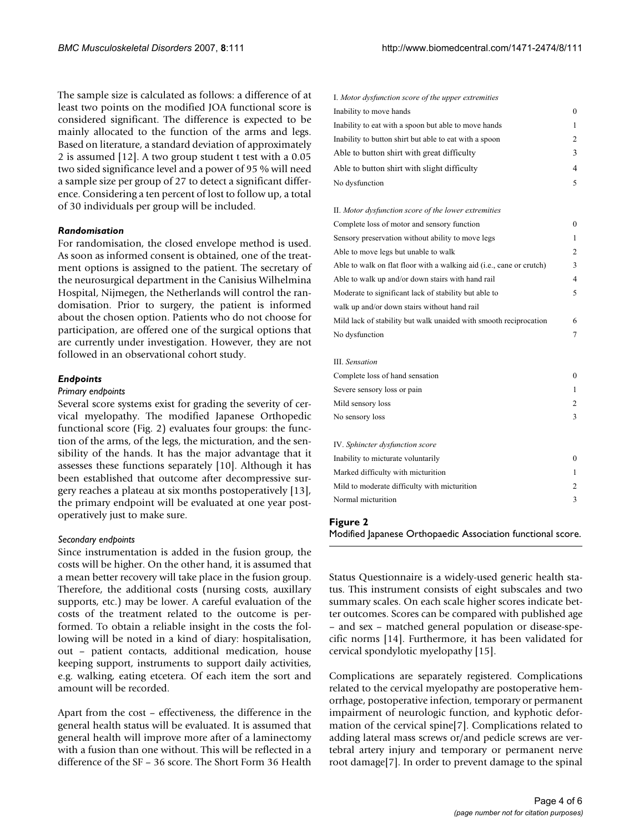The sample size is calculated as follows: a difference of at least two points on the modified JOA functional score is considered significant. The difference is expected to be mainly allocated to the function of the arms and legs. Based on literature, a standard deviation of approximately 2 is assumed [12]. A two group student t test with a 0.05 two sided significance level and a power of 95 % will need a sample size per group of 27 to detect a significant difference. Considering a ten percent of lost to follow up, a total of 30 individuals per group will be included.

#### *Randomisation*

For randomisation, the closed envelope method is used. As soon as informed consent is obtained, one of the treatment options is assigned to the patient. The secretary of the neurosurgical department in the Canisius Wilhelmina Hospital, Nijmegen, the Netherlands will control the randomisation. Prior to surgery, the patient is informed about the chosen option. Patients who do not choose for participation, are offered one of the surgical options that are currently under investigation. However, they are not followed in an observational cohort study.

#### *Endpoints*

#### *Primary endpoints*

Several score systems exist for grading the severity of cervical myelopathy. The modified Japanese Orthopedic functional score (Fig. 2) evaluates four groups: the function of the arms, of the legs, the micturation, and the sensibility of the hands. It has the major advantage that it assesses these functions separately [10]. Although it has been established that outcome after decompressive surgery reaches a plateau at six months postoperatively [13], the primary endpoint will be evaluated at one year postoperatively just to make sure.

#### *Secondary endpoints*

Since instrumentation is added in the fusion group, the costs will be higher. On the other hand, it is assumed that a mean better recovery will take place in the fusion group. Therefore, the additional costs (nursing costs, auxillary supports, etc.) may be lower. A careful evaluation of the costs of the treatment related to the outcome is performed. To obtain a reliable insight in the costs the following will be noted in a kind of diary: hospitalisation, out – patient contacts, additional medication, house keeping support, instruments to support daily activities, e.g. walking, eating etcetera. Of each item the sort and amount will be recorded.

Apart from the cost – effectiveness, the difference in the general health status will be evaluated. It is assumed that general health will improve more after of a laminectomy with a fusion than one without. This will be reflected in a difference of the SF – 36 score. The Short Form 36 Health

| I. Motor dysfunction score of the upper extremities    |          |
|--------------------------------------------------------|----------|
| Inability to move hands                                | $\Omega$ |
| Inability to eat with a spoon but able to move hands   |          |
| Inability to button shirt but able to eat with a spoon | 2        |
| Able to button shirt with great difficulty             | 3        |
| Able to button shirt with slight difficulty            | 4        |
| No dysfunction                                         | 5        |

| II. Motor dysfunction score of the lower extremities                 |          |  |
|----------------------------------------------------------------------|----------|--|
| Complete loss of motor and sensory function                          | $\Omega$ |  |
| Sensory preservation without ability to move legs                    | 1        |  |
| Able to move legs but unable to walk                                 | 2        |  |
| Able to walk on flat floor with a walking aid (i.e., cane or crutch) | 3        |  |
| Able to walk up and/or down stairs with hand rail                    | 4        |  |
| Moderate to significant lack of stability but able to                |          |  |
| walk up and/or down stairs without hand rail                         |          |  |
| Mild lack of stability but walk unaided with smooth reciprocation    | 6        |  |
| No dysfunction                                                       | 7        |  |
|                                                                      |          |  |
| III. Sensation                                                       |          |  |
| Complete loss of hand sensation                                      | $\Omega$ |  |
| Severe sensory loss or pain                                          | 1        |  |
| Mild sensory loss                                                    | 2        |  |
| No sensory loss                                                      | 3        |  |
|                                                                      |          |  |
| IV. Sphincter dysfunction score                                      |          |  |
| Inability to micturate voluntarily                                   | $\theta$ |  |
| Marked difficulty with micturition                                   | 1        |  |
| Mild to moderate difficulty with micturition                         | 2        |  |
| Normal micturition                                                   | 3        |  |
|                                                                      |          |  |

#### Figure 2

Modified Japanese Orthopaedic Association functional score.

Status Questionnaire is a widely-used generic health status. This instrument consists of eight subscales and two summary scales. On each scale higher scores indicate better outcomes. Scores can be compared with published age – and sex – matched general population or disease-specific norms [14]. Furthermore, it has been validated for cervical spondylotic myelopathy [15].

Complications are separately registered. Complications related to the cervical myelopathy are postoperative hemorrhage, postoperative infection, temporary or permanent impairment of neurologic function, and kyphotic deformation of the cervical spine[7]. Complications related to adding lateral mass screws or/and pedicle screws are vertebral artery injury and temporary or permanent nerve root damage[7]. In order to prevent damage to the spinal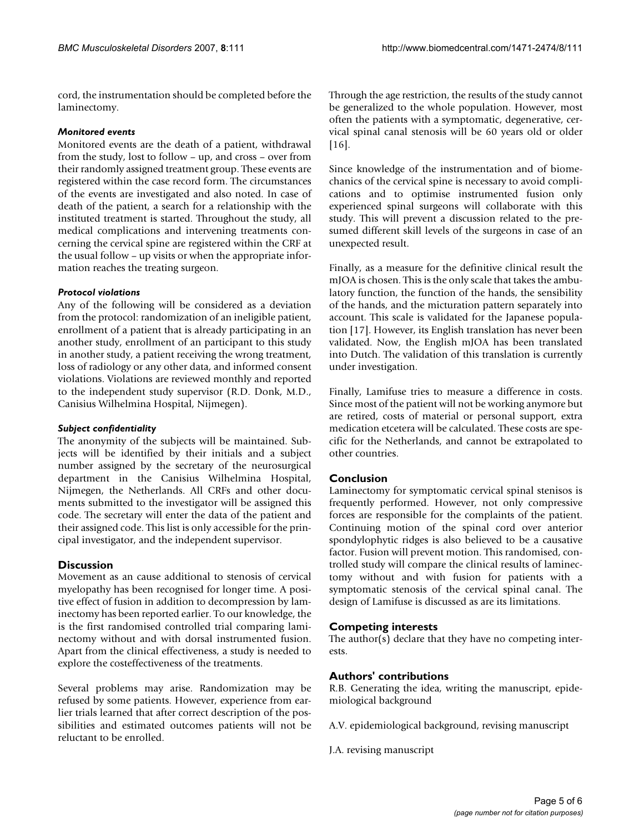cord, the instrumentation should be completed before the laminectomy.

#### *Monitored events*

Monitored events are the death of a patient, withdrawal from the study, lost to follow – up, and cross – over from their randomly assigned treatment group. These events are registered within the case record form. The circumstances of the events are investigated and also noted. In case of death of the patient, a search for a relationship with the instituted treatment is started. Throughout the study, all medical complications and intervening treatments concerning the cervical spine are registered within the CRF at the usual follow – up visits or when the appropriate information reaches the treating surgeon.

#### *Protocol violations*

Any of the following will be considered as a deviation from the protocol: randomization of an ineligible patient, enrollment of a patient that is already participating in an another study, enrollment of an participant to this study in another study, a patient receiving the wrong treatment, loss of radiology or any other data, and informed consent violations. Violations are reviewed monthly and reported to the independent study supervisor (R.D. Donk, M.D., Canisius Wilhelmina Hospital, Nijmegen).

#### *Subject confidentiality*

The anonymity of the subjects will be maintained. Subjects will be identified by their initials and a subject number assigned by the secretary of the neurosurgical department in the Canisius Wilhelmina Hospital, Nijmegen, the Netherlands. All CRFs and other documents submitted to the investigator will be assigned this code. The secretary will enter the data of the patient and their assigned code. This list is only accessible for the principal investigator, and the independent supervisor.

#### **Discussion**

Movement as an cause additional to stenosis of cervical myelopathy has been recognised for longer time. A positive effect of fusion in addition to decompression by laminectomy has been reported earlier. To our knowledge, the is the first randomised controlled trial comparing laminectomy without and with dorsal instrumented fusion. Apart from the clinical effectiveness, a study is needed to explore the costeffectiveness of the treatments.

Several problems may arise. Randomization may be refused by some patients. However, experience from earlier trials learned that after correct description of the possibilities and estimated outcomes patients will not be reluctant to be enrolled.

Through the age restriction, the results of the study cannot be generalized to the whole population. However, most often the patients with a symptomatic, degenerative, cervical spinal canal stenosis will be 60 years old or older [16].

Since knowledge of the instrumentation and of biomechanics of the cervical spine is necessary to avoid complications and to optimise instrumented fusion only experienced spinal surgeons will collaborate with this study. This will prevent a discussion related to the presumed different skill levels of the surgeons in case of an unexpected result.

Finally, as a measure for the definitive clinical result the mJOA is chosen. This is the only scale that takes the ambulatory function, the function of the hands, the sensibility of the hands, and the micturation pattern separately into account. This scale is validated for the Japanese population [17]. However, its English translation has never been validated. Now, the English mJOA has been translated into Dutch. The validation of this translation is currently under investigation.

Finally, Lamifuse tries to measure a difference in costs. Since most of the patient will not be working anymore but are retired, costs of material or personal support, extra medication etcetera will be calculated. These costs are specific for the Netherlands, and cannot be extrapolated to other countries.

#### **Conclusion**

Laminectomy for symptomatic cervical spinal stenisos is frequently performed. However, not only compressive forces are responsible for the complaints of the patient. Continuing motion of the spinal cord over anterior spondylophytic ridges is also believed to be a causative factor. Fusion will prevent motion. This randomised, controlled study will compare the clinical results of laminectomy without and with fusion for patients with a symptomatic stenosis of the cervical spinal canal. The design of Lamifuse is discussed as are its limitations.

#### **Competing interests**

The author(s) declare that they have no competing interests.

#### **Authors' contributions**

R.B. Generating the idea, writing the manuscript, epidemiological background

A.V. epidemiological background, revising manuscript

J.A. revising manuscript